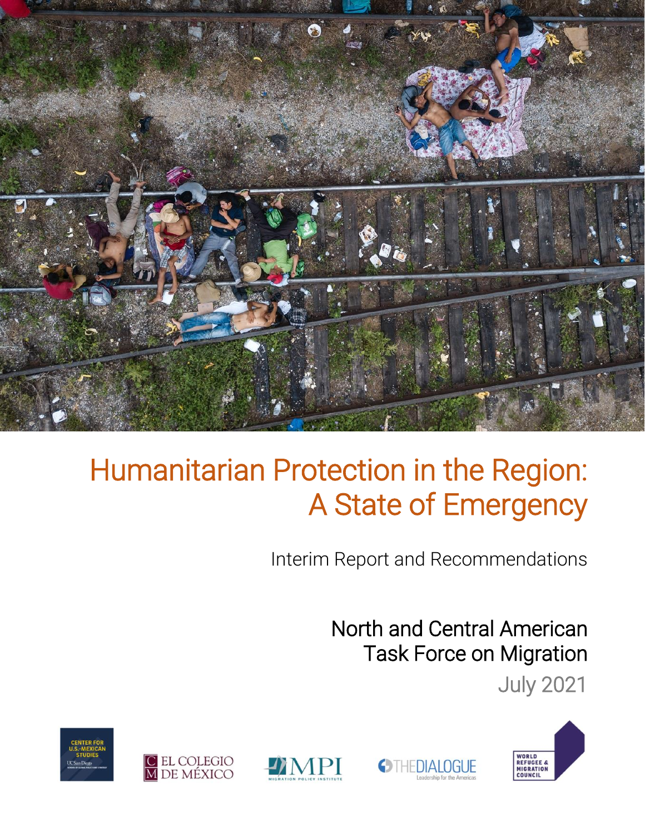

Interim Report and Recommendations

**OTHEDIALOGUE** 

North and Central American Task Force on Migration

July 2021





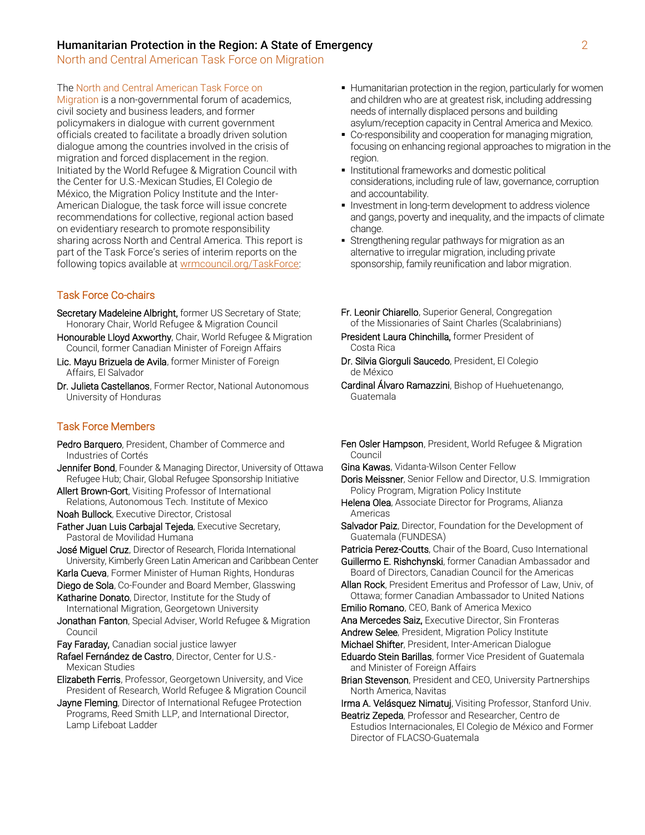North and Central American Task Force on Migration

#### The North and Central American Task Force on

Migration is a non-governmental forum of academics, civil society and business leaders, and former policymakers in dialogue with current government officials created to facilitate a broadly driven solution dialogue among the countries involved in the crisis of migration and forced displacement in the region. Initiated by the World Refugee & Migration Council with the Center for U.S.-Mexican Studies, El Colegio de México, the Migration Policy Institute and the Inter-American Dialogue, the task force will issue concrete recommendations for collective, regional action based on evidentiary research to promote responsibility sharing across North and Central America. This report is part of the Task Force's series of interim reports on the following topics available at [wrmcouncil.org/TaskForce:](https://wrmcouncil.org/taskforce)

#### Task Force Co-chairs

- Secretary Madeleine Albright, former US Secretary of State; Honorary Chair, World Refugee & Migration Council
- Honourable Lloyd Axworthy, Chair, World Refugee & Migration Council, former Canadian Minister of Foreign Affairs
- Lic. Mayu Brizuela de Avila, former Minister of Foreign Affairs, El Salvador
- Dr. Julieta Castellanos, Former Rector, National Autonomous University of Honduras

#### Task Force Members

- Pedro Barquero, President, Chamber of Commerce and Industries of Cortés
- **Jennifer Bond**, Founder & Managing Director, University of Ottawa Refugee Hub; Chair, Global Refugee Sponsorship Initiative
- Allert Brown-Gort, Visiting Professor of International Relations, Autonomous Tech. Institute of Mexico
- Noah Bullock, Executive Director, Cristosal
- Father Juan Luis Carbajal Tejeda, Executive Secretary, Pastoral de Movilidad Humana
- José Miguel Cruz, Director of Research, Florida International University, Kimberly Green Latin American and Caribbean Center
- Karla Cueva, Former Minister of Human Rights, Honduras
- Diego de Sola, Co-Founder and Board Member, Glasswing
- Katharine Donato, Director, Institute for the Study of International Migration, Georgetown University
- Jonathan Fanton, Special Adviser, World Refugee & Migration Council
- Fay Faraday, Canadian social justice lawyer
- Rafael Fernández de Castro, Director, Center for U.S.- Mexican Studies
- Elizabeth Ferris, Professor, Georgetown University, and Vice President of Research, World Refugee & Migration Council
- Jayne Fleming, Director of International Refugee Protection Programs, Reed Smith LLP, and International Director, Lamp Lifeboat Ladder
- **EXTERGHTM** Humanitarian protection in the region, particularly for women and children who are at greatest risk, including addressing needs of internally displaced persons and building asylum/reception capacity in Central America and Mexico.
- Co-responsibility and cooperation for managing migration, focusing on enhancing regional approaches to migration in the region.
- **.** Institutional frameworks and domestic political considerations, including rule of law, governance, corruption and accountability.
- **Investment in long-term development to address violence** and gangs, poverty and inequality, and the impacts of climate change.
- **EXTENGTHERICAL STATE STATE IS STATE:** Strengthening regular pathways for migration as an alternative to irregular migration, including private sponsorship, family reunification and labor migration.
- Fr. Leonir Chiarello, Superior General, Congregation of the Missionaries of Saint Charles (Scalabrinians)
- President Laura Chinchilla, former President of Costa Rica
- Dr. Silvia Giorguli Saucedo, President, El Colegio de México
- Cardinal Álvaro Ramazzini, Bishop of Huehuetenango, Guatemala
- **Fen Osler Hampson**, President, World Refugee & Migration Council
- Gina Kawas, Vidanta-Wilson Center Fellow

Doris Meissner, Senior Fellow and Director, U.S. Immigration Policy Program, Migration Policy Institute

- Helena Olea, Associate Director for Programs, Alianza Americas
- Salvador Paiz, Director, Foundation for the Development of Guatemala (FUNDESA)

Patricia Perez-Coutts, Chair of the Board, Cuso International Guillermo E. Rishchynski, former Canadian Ambassador and Board of Directors, Canadian Council for the Americas

- Allan Rock, President Emeritus and Professor of Law, Univ, of Ottawa; former Canadian Ambassador to United Nations
- Emilio Romano, CEO, Bank of America Mexico
- Ana Mercedes Saiz, Executive Director, Sin Fronteras
- Andrew Selee, President, Migration Policy Institute
- Michael Shifter, President, Inter-American Dialogue Eduardo Stein Barillas, former Vice President of Guatemala and Minister of Foreign Affairs
- **Brian Stevenson**, President and CEO, University Partnerships North America, Navitas

Irma A. Velásquez Nimatuj, Visiting Professor, Stanford Univ.

Beatriz Zepeda, Professor and Researcher, Centro de Estudios Internacionales, El Colegio de México and Former Director of FLACSO-Guatemala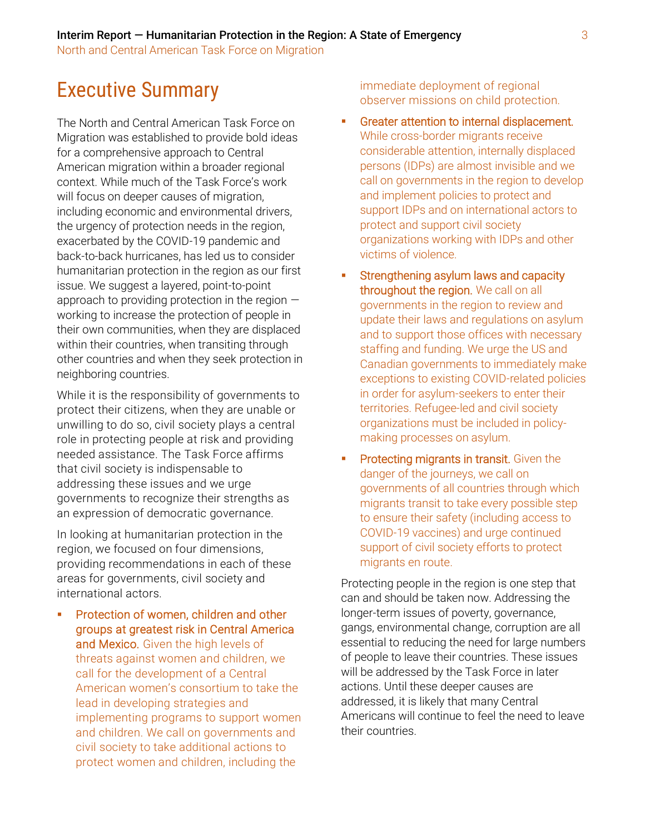# Executive Summary

The North and Central American Task Force on Migration was established to provide bold ideas for a comprehensive approach to Central American migration within a broader regional context. While much of the Task Force's work will focus on deeper causes of migration, including economic and environmental drivers, the urgency of protection needs in the region, exacerbated by the COVID-19 pandemic and back-to-back hurricanes, has led us to consider humanitarian protection in the region as our first issue. We suggest a layered, point-to-point approach to providing protection in the region working to increase the protection of people in their own communities, when they are displaced within their countries, when transiting through other countries and when they seek protection in neighboring countries.

While it is the responsibility of governments to protect their citizens, when they are unable or unwilling to do so, civil society plays a central role in protecting people at risk and providing needed assistance. The Task Force affirms that civil society is indispensable to addressing these issues and we urge governments to recognize their strengths as an expression of democratic governance.

In looking at humanitarian protection in the region, we focused on four dimensions, providing recommendations in each of these areas for governments, civil society and international actors.

Protection of women, children and other groups at greatest risk in Central America and Mexico. Given the high levels of threats against women and children, we call for the development of a Central American women's consortium to take the lead in developing strategies and implementing programs to support women and children. We call on governments and civil society to take additional actions to protect women and children, including the

immediate deployment of regional observer missions on child protection.

- **•** Greater attention to internal displacement. While cross-border migrants receive considerable attention, internally displaced persons (IDPs) are almost invisible and we call on governments in the region to develop and implement policies to protect and support IDPs and on international actors to protect and support civil society organizations working with IDPs and other victims of violence.
- **EXECTE:** Strengthening asylum laws and capacity throughout the region. We call on all governments in the region to review and update their laws and regulations on asylum and to support those offices with necessary staffing and funding. We urge the US and Canadian governments to immediately make exceptions to existing COVID-related policies in order for asylum-seekers to enter their territories. Refugee-led and civil society organizations must be included in policymaking processes on asylum.
- **Protecting migrants in transit.** Given the danger of the journeys, we call on governments of all countries through which migrants transit to take every possible step to ensure their safety (including access to COVID-19 vaccines) and urge continued support of civil society efforts to protect migrants en route.

Protecting people in the region is one step that can and should be taken now. Addressing the longer-term issues of poverty, governance, gangs, environmental change, corruption are all essential to reducing the need for large numbers of people to leave their countries. These issues will be addressed by the Task Force in later actions. Until these deeper causes are addressed, it is likely that many Central Americans will continue to feel the need to leave their countries.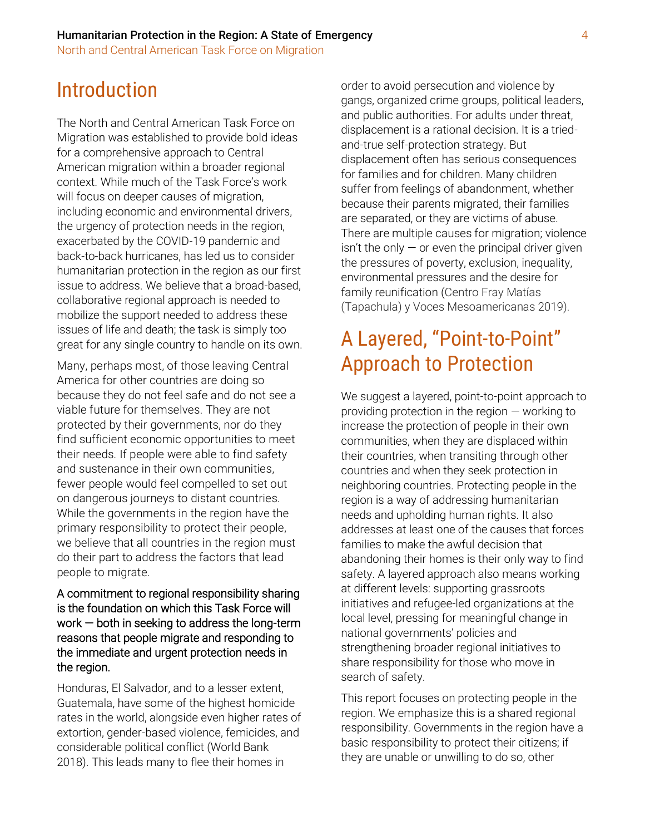# Introduction

The North and Central American Task Force on Migration was established to provide bold ideas for a comprehensive approach to Central American migration within a broader regional context. While much of the Task Force's work will focus on deeper causes of migration, including economic and environmental drivers, the urgency of protection needs in the region, exacerbated by the COVID-19 pandemic and back-to-back hurricanes, has led us to consider humanitarian protection in the region as our first issue to address. We believe that a broad-based, collaborative regional approach is needed to mobilize the support needed to address these issues of life and death; the task is simply too great for any single country to handle on its own.

Many, perhaps most, of those leaving Central America for other countries are doing so because they do not feel safe and do not see a viable future for themselves. They are not protected by their governments, nor do they find sufficient economic opportunities to meet their needs. If people were able to find safety and sustenance in their own communities, fewer people would feel compelled to set out on dangerous journeys to distant countries. While the governments in the region have the primary responsibility to protect their people, we believe that all countries in the region must do their part to address the factors that lead people to migrate.

A commitment to regional responsibility sharing is the foundation on which this Task Force will work  $-$  both in seeking to address the long-term reasons that people migrate and responding to the immediate and urgent protection needs in the region.

Honduras, El Salvador, and to a lesser extent, Guatemala, have some of the highest homicide rates in the world, alongside even higher rates of extortion, gender-based violence, femicides, and considerable political conflict (World Bank 2018). This leads many to flee their homes in

order to avoid persecution and violence by gangs, organized crime groups, political leaders, and public authorities. For adults under threat, displacement is a rational decision. It is a triedand-true self-protection strategy. But displacement often has serious consequences for families and for children. Many children suffer from feelings of abandonment, whether because their parents migrated, their families are separated, or they are victims of abuse. There are multiple causes for migration; violence  $\sin$ <sup>t</sup> the only  $-$  or even the principal driver given the pressures of poverty, exclusion, inequality, environmental pressures and the desire for family reunification (Centro Fray Matías (Tapachula) y Voces Mesoamericanas 2019).

# A Layered, "Point-to-Point" Approach to Protection

We suggest a layered, point-to-point approach to providing protection in the region — working to increase the protection of people in their own communities, when they are displaced within their countries, when transiting through other countries and when they seek protection in neighboring countries. Protecting people in the region is a way of addressing humanitarian needs and upholding human rights. It also addresses at least one of the causes that forces families to make the awful decision that abandoning their homes is their only way to find safety. A layered approach also means working at different levels: supporting grassroots initiatives and refugee-led organizations at the local level, pressing for meaningful change in national governments' policies and strengthening broader regional initiatives to share responsibility for those who move in search of safety.

This report focuses on protecting people in the region. We emphasize this is a shared regional responsibility. Governments in the region have a basic responsibility to protect their citizens; if they are unable or unwilling to do so, other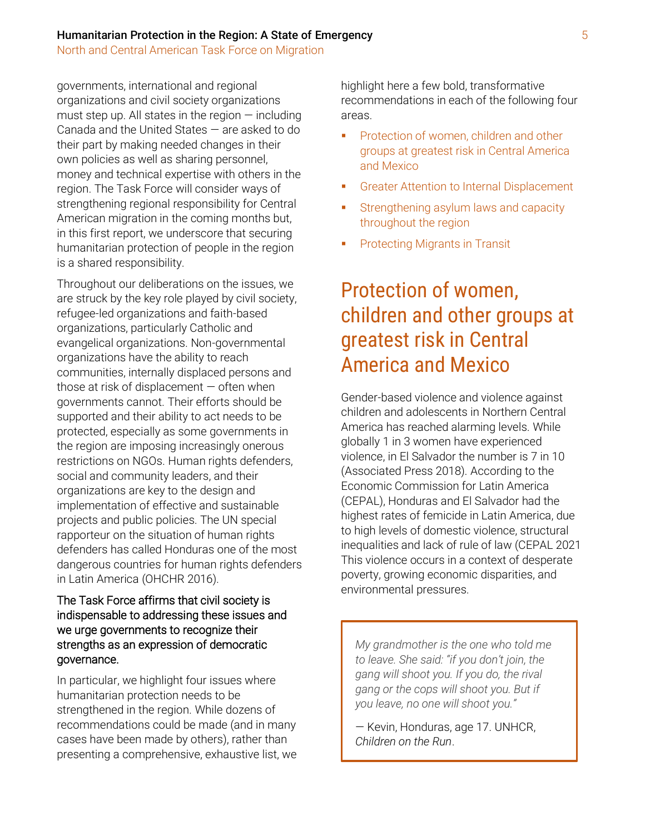North and Central American Task Force on Migration

governments, international and regional organizations and civil society organizations must step up. All states in the region  $-$  including Canada and the United States — are asked to do their part by making needed changes in their own policies as well as sharing personnel, money and technical expertise with others in the region. The Task Force will consider ways of strengthening regional responsibility for Central American migration in the coming months but, in this first report, we underscore that securing humanitarian protection of people in the region is a shared responsibility.

Throughout our deliberations on the issues, we are struck by the key role played by civil society, refugee-led organizations and faith-based organizations, particularly Catholic and evangelical organizations. Non-governmental organizations have the ability to reach communities, internally displaced persons and those at risk of displacement  $-$  often when governments cannot. Their efforts should be supported and their ability to act needs to be protected, especially as some governments in the region are imposing increasingly onerous restrictions on NGOs. Human rights defenders, social and community leaders, and their organizations are key to the design and implementation of effective and sustainable projects and public policies. The UN special rapporteur on the situation of human rights defenders has called Honduras one of the most dangerous countries for human rights defenders in Latin America (OHCHR 2016).

### The Task Force affirms that civil society is indispensable to addressing these issues and we urge governments to recognize their strengths as an expression of democratic governance.

In particular, we highlight four issues where humanitarian protection needs to be strengthened in the region. While dozens of recommendations could be made (and in many cases have been made by others), rather than presenting a comprehensive, exhaustive list, we highlight here a few bold, transformative recommendations in each of the following four areas.

- **•** Protection of women, children and other groups at greatest risk in Central America and Mexico
- **Greater Attention to Internal Displacement**
- **EXECTE:** Strengthening asylum laws and capacity throughout the region
- **Protecting Migrants in Transit**

# Protection of women, children and other groups at greatest risk in Central America and Mexico

Gender-based violence and violence against children and adolescents in Northern Central America has reached alarming levels. While globally 1 in 3 women have experienced violence, in El Salvador the number is 7 in 10 (Associated Press 2018). According to the Economic Commission for Latin America (CEPAL), Honduras and El Salvador had the highest rates of femicide in Latin America, due to high levels of domestic violence, structural inequalities and lack of rule of law (CEPAL 2021 This violence occurs in a context of desperate poverty, growing economic disparities, and environmental pressures.

*My grandmother is the one who told me to leave. She said: "if you don't join, the gang will shoot you. If you do, the rival gang or the cops will shoot you. But if you leave, no one will shoot you."*

— Kevin, Honduras, age 17. UNHCR, *Children on the Run*.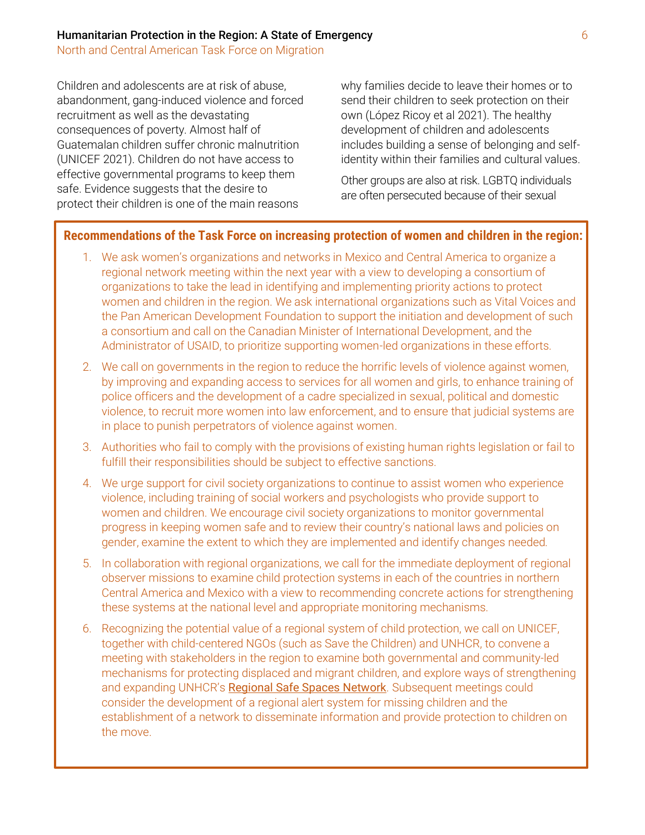Children and adolescents are at risk of abuse, abandonment, gang-induced violence and forced recruitment as well as the devastating consequences of poverty. Almost half of Guatemalan children suffer chronic malnutrition (UNICEF 2021). Children do not have access to effective governmental programs to keep them safe. Evidence suggests that the desire to protect their children is one of the main reasons

why families decide to leave their homes or to send their children to seek protection on their own (López Ricoy et al 2021). The healthy development of children and adolescents includes building a sense of belonging and selfidentity within their families and cultural values.

Other groups are also at risk. LGBTQ individuals are often persecuted because of their sexual

### **Recommendations of the Task Force on increasing protection of women and children in the region:**

- 1. We ask women's organizations and networks in Mexico and Central America to organize a regional network meeting within the next year with a view to developing a consortium of organizations to take the lead in identifying and implementing priority actions to protect women and children in the region. We ask international organizations such as Vital Voices and the Pan American Development Foundation to support the initiation and development of such a consortium and call on the Canadian Minister of International Development, and the Administrator of USAID, to prioritize supporting women-led organizations in these efforts.
- 2. We call on governments in the region to reduce the horrific levels of violence against women, by improving and expanding access to services for all women and girls, to enhance training of police officers and the development of a cadre specialized in sexual, political and domestic violence, to recruit more women into law enforcement, and to ensure that judicial systems are in place to punish perpetrators of violence against women.
- 3. Authorities who fail to comply with the provisions of existing human rights legislation or fail to fulfill their responsibilities should be subject to effective sanctions.
- 4. We urge support for civil society organizations to continue to assist women who experience violence, including training of social workers and psychologists who provide support to women and children. We encourage civil society organizations to monitor governmental progress in keeping women safe and to review their country's national laws and policies on gender, examine the extent to which they are implemented and identify changes needed.
- 5. In collaboration with regional organizations, we call for the immediate deployment of regional observer missions to examine child protection systems in each of the countries in northern Central America and Mexico with a view to recommending concrete actions for strengthening these systems at the national level and appropriate monitoring mechanisms.
- 6. Recognizing the potential value of a regional system of child protection, we call on UNICEF, together with child-centered NGOs (such as Save the Children) and UNHCR, to convene a meeting with stakeholders in the region to examine both governmental and community-led mechanisms for protecting displaced and migrant children, and explore ways of strengthening and expanding UNHCR's [Regional Safe Spaces Network](https://rssn-americas.org/). Subsequent meetings could consider the development of a regional alert system for missing children and the establishment of a network to disseminate information and provide protection to children on the move.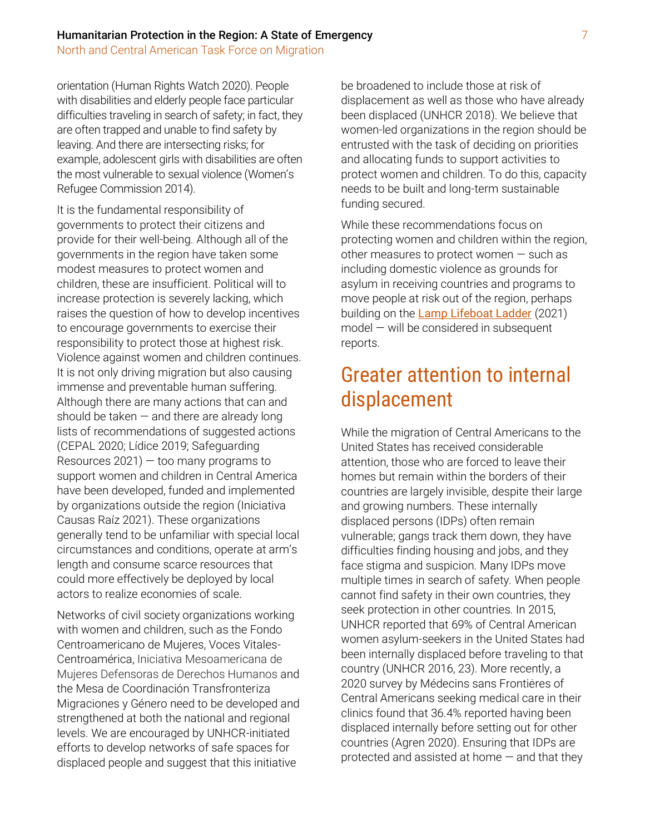orientation (Human Rights Watch 2020). People with disabilities and elderly people face particular difficulties traveling in search of safety; in fact, they are often trapped and unable to find safety by leaving. And there are intersecting risks; for example, adolescent girls with disabilities are often the most vulnerable to sexual violence (Women's Refugee Commission 2014).

It is the fundamental responsibility of governments to protect their citizens and provide for their well-being. Although all of the governments in the region have taken some modest measures to protect women and children, these are insufficient. Political will to increase protection is severely lacking, which raises the question of how to develop incentives to encourage governments to exercise their responsibility to protect those at highest risk. Violence against women and children continues. It is not only driving migration but also causing immense and preventable human suffering. Although there are many actions that can and should be taken  $-$  and there are already long lists of recommendations of suggested actions (CEPAL 2020; Lídice 2019; Safeguarding Resources  $2021$ ) – too many programs to support women and children in Central America have been developed, funded and implemented by organizations outside the region (Iniciativa Causas Raíz 2021). These organizations generally tend to be unfamiliar with special local circumstances and conditions, operate at arm's length and consume scarce resources that could more effectively be deployed by local actors to realize economies of scale.

Networks of civil society organizations working with women and children, such as the Fondo Centroamericano de Mujeres, Voces Vitales-Centroamérica, Iniciativa Mesoamericana de Mujeres Defensoras de Derechos Humanos and the Mesa de Coordinación Transfronteriza Migraciones y Género need to be developed and strengthened at both the national and regional levels. We are encouraged by UNHCR-initiated efforts to develop networks of safe spaces for displaced people and suggest that this initiative

be broadened to include those at risk of displacement as well as those who have already been displaced (UNHCR 2018). We believe that women-led organizations in the region should be entrusted with the task of deciding on priorities and allocating funds to support activities to protect women and children. To do this, capacity needs to be built and long-term sustainable funding secured.

While these recommendations focus on protecting women and children within the region, other measures to protect women — such as including domestic violence as grounds for asylum in receiving countries and programs to move people at risk out of the region, perhaps building on the [Lamp Lifeboat Ladder](https://www.lamplifeboatladder.org/) (2021) model — will be considered in subsequent reports.

# Greater attention to internal displacement

While the migration of Central Americans to the United States has received considerable attention, those who are forced to leave their homes but remain within the borders of their countries are largely invisible, despite their large and growing numbers. These internally displaced persons (IDPs) often remain vulnerable; gangs track them down, they have difficulties finding housing and jobs, and they face stigma and suspicion. Many IDPs move multiple times in search of safety. When people cannot find safety in their own countries, they seek protection in other countries. In 2015, UNHCR reported that 69% of Central American women asylum-seekers in the United States had been internally displaced before traveling to that country (UNHCR 2016, 23). More recently, a 2020 survey by Médecins sans Frontiėres of Central Americans seeking medical care in their clinics found that 36.4% reported having been displaced internally before setting out for other countries (Agren 2020). Ensuring that IDPs are protected and assisted at home  $-$  and that they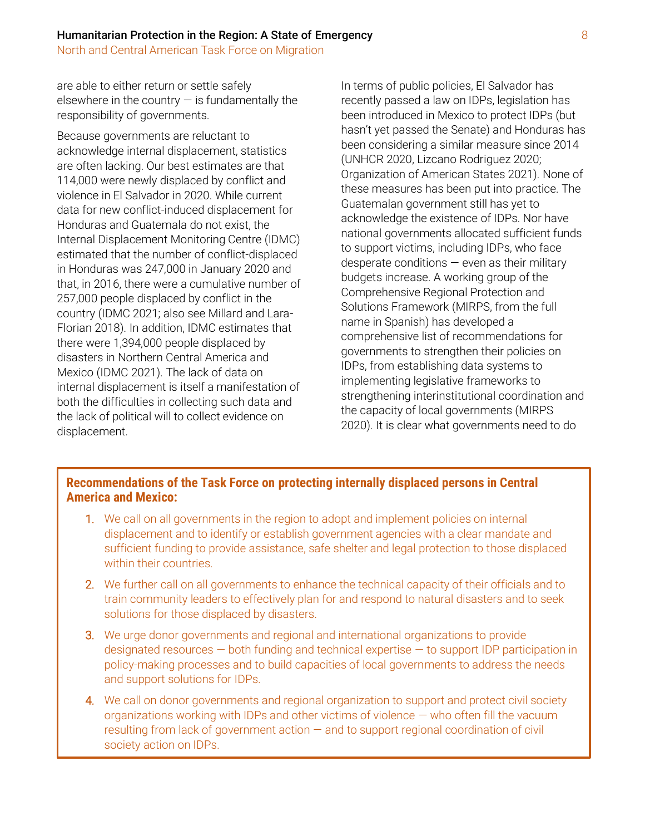are able to either return or settle safely elsewhere in the country  $-$  is fundamentally the responsibility of governments.

Because governments are reluctant to acknowledge internal displacement, statistics are often lacking. Our best estimates are that 114,000 were newly displaced by conflict and violence in El Salvador in 2020. While current data for new conflict-induced displacement for Honduras and Guatemala do not exist, the Internal Displacement Monitoring Centre (IDMC) estimated that the number of conflict-displaced in Honduras was 247,000 in January 2020 and that, in 2016, there were a cumulative number of 257,000 people displaced by conflict in the country (IDMC 2021; also see Millard and Lara-Florian 2018). In addition, IDMC estimates that there were 1,394,000 people displaced by disasters in Northern Central America and Mexico (IDMC 2021). The lack of data on internal displacement is itself a manifestation of both the difficulties in collecting such data and the lack of political will to collect evidence on displacement.

In terms of public policies, El Salvador has recently passed a law on IDPs, legislation has been introduced in Mexico to protect IDPs (but hasn't yet passed the Senate) and Honduras has been considering a similar measure since 2014 (UNHCR 2020, Lizcano Rodriguez 2020; Organization of American States 2021). None of these measures has been put into practice. The Guatemalan government still has yet to acknowledge the existence of IDPs. Nor have national governments allocated sufficient funds to support victims, including IDPs, who face desperate conditions  $-$  even as their military budgets increase. A working group of the Comprehensive Regional Protection and Solutions Framework (MIRPS, from the full name in Spanish) has developed a comprehensive list of recommendations for governments to strengthen their policies on IDPs, from establishing data systems to implementing legislative frameworks to strengthening interinstitutional coordination and the capacity of local governments (MIRPS 2020). It is clear what governments need to do

### **Recommendations of the Task Force on protecting internally displaced persons in Central America and Mexico:**

- 1. We call on all governments in the region to adopt and implement policies on internal displacement and to identify or establish government agencies with a clear mandate and sufficient funding to provide assistance, safe shelter and legal protection to those displaced within their countries.
- 2. We further call on all governments to enhance the technical capacity of their officials and to train community leaders to effectively plan for and respond to natural disasters and to seek solutions for those displaced by disasters.
- 3. We urge donor governments and regional and international organizations to provide designated resources — both funding and technical expertise — to support IDP participation in policy-making processes and to build capacities of local governments to address the needs and support solutions for IDPs.
- 4. We call on donor governments and regional organization to support and protect civil society organizations working with IDPs and other victims of violence — who often fill the vacuum resulting from lack of government action — and to support regional coordination of civil society action on IDPs.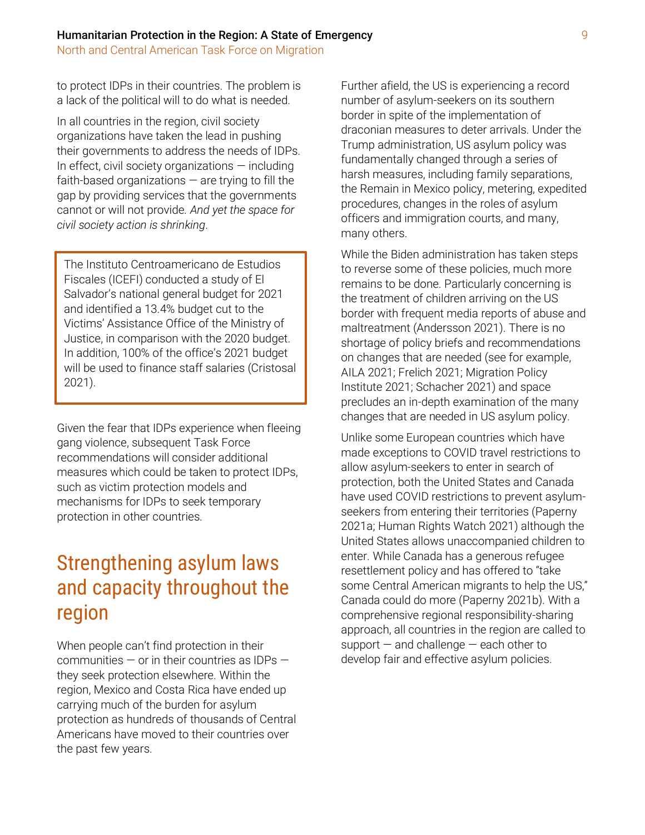North and Central American Task Force on Migration

to protect IDPs in their countries. The problem is a lack of the political will to do what is needed.

In all countries in the region, civil society organizations have taken the lead in pushing their governments to address the needs of IDPs. In effect, civil society organizations  $-$  including faith-based organizations  $-$  are trying to fill the gap by providing services that the governments cannot or will not provide. *And yet the space for civil society action is shrinking*.

The Instituto Centroamericano de Estudios Fiscales (ICEFI) conducted a study of El Salvador's national general budget for 2021 and identified a 13.4% budget cut to the Victims' Assistance Office of the Ministry of Justice, in comparison with the 2020 budget. In addition, 100% of the office's 2021 budget will be used to finance staff salaries (Cristosal 2021).

Given the fear that IDPs experience when fleeing gang violence, subsequent Task Force recommendations will consider additional measures which could be taken to protect IDPs, such as victim protection models and mechanisms for IDPs to seek temporary protection in other countries.

# Strengthening asylum laws and capacity throughout the region

When people can't find protection in their communities  $-$  or in their countries as IDPs  $$ they seek protection elsewhere. Within the region, Mexico and Costa Rica have ended up carrying much of the burden for asylum protection as hundreds of thousands of Central Americans have moved to their countries over the past few years.

Further afield, the US is experiencing a record number of asylum-seekers on its southern border in spite of the implementation of draconian measures to deter arrivals. Under the Trump administration, US asylum policy was fundamentally changed through a series of harsh measures, including family separations, the Remain in Mexico policy, metering, expedited procedures, changes in the roles of asylum officers and immigration courts, and many, many others.

While the Biden administration has taken steps to reverse some of these policies, much more remains to be done. Particularly concerning is the treatment of children arriving on the US border with frequent media reports of abuse and maltreatment (Andersson 2021). There is no shortage of policy briefs and recommendations on changes that are needed (see for example, AILA 2021; Frelich 2021; Migration Policy Institute 2021; Schacher 2021) and space precludes an in-depth examination of the many changes that are needed in US asylum policy.

Unlike some European countries which have made exceptions to COVID travel restrictions to allow asylum-seekers to enter in search of protection, both the United States and Canada have used COVID restrictions to prevent asylumseekers from entering their territories (Paperny 2021a; Human Rights Watch 2021) although the United States allows unaccompanied children to enter. While Canada has a generous refugee resettlement policy and has offered to "take some Central American migrants to help the US," Canada could do more (Paperny 2021b). With a comprehensive regional responsibility-sharing approach, all countries in the region are called to support  $-$  and challenge  $-$  each other to develop fair and effective asylum policies.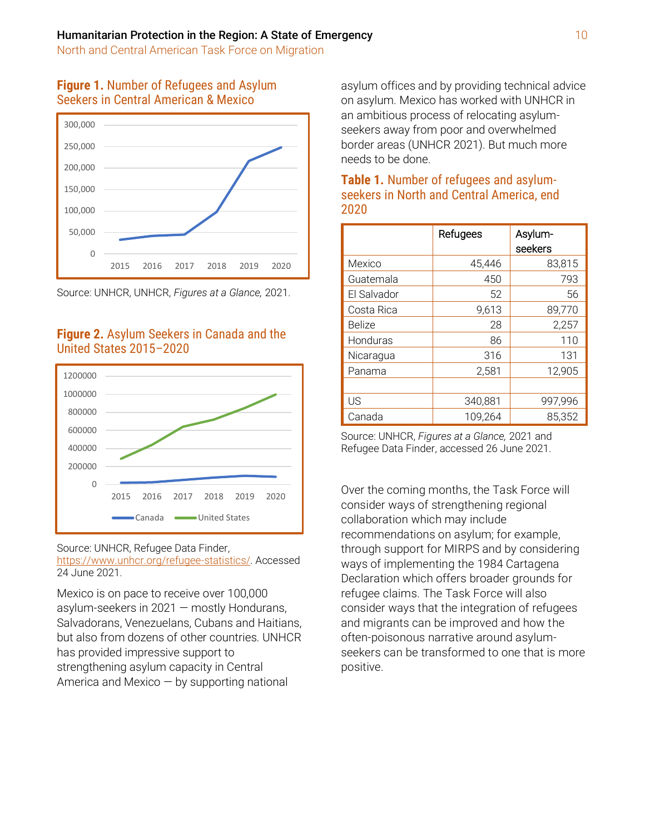### **Figure 1.** Number of Refugees and Asylum Seekers in Central American & Mexico



Source: UNHCR, UNHCR, *Figures at a Glance,* 2021.

### **Figure 2.** Asylum Seekers in Canada and the United States 2015–2020



Source: UNHCR, Refugee Data Finder,

[https://www.unhcr.org/refugee-statistics/.](https://www.unhcr.org/refugee-statistics/) Accessed 24 June 2021.

Mexico is on pace to receive over 100,000 asylum-seekers in 2021 — mostly Hondurans, Salvadorans, Venezuelans, Cubans and Haitians, but also from dozens of other countries. UNHCR has provided impressive support to strengthening asylum capacity in Central America and Mexico  $-$  by supporting national

asylum offices and by providing technical advice on asylum. Mexico has worked with UNHCR in an ambitious process of relocating asylumseekers away from poor and overwhelmed border areas (UNHCR 2021). But much more needs to be done.

| ZUZU          |          |         |
|---------------|----------|---------|
|               | Refugees | Asylum- |
|               |          | seekers |
| Mexico        | 45,446   | 83,815  |
| Guatemala     | 450      | 793     |
| El Salvador   | 52       | 56      |
| Costa Rica    | 9,613    | 89,770  |
| <b>Belize</b> | 28       | 2,257   |
| Honduras      | 86       | 110     |
| Nicaragua     | 316      | 131     |
| Panama        | 2,581    | 12,905  |
|               |          |         |
| US            | 340,881  | 997,996 |
| Canada        | 109,264  | 85,352  |

## **Table 1.** Number of refugees and asylumseekers in North and Central America, end 2020

Source: UNHCR, *Figures at a Glance,* 2021 and Refugee Data Finder, accessed 26 June 2021.

Over the coming months, the Task Force will consider ways of strengthening regional collaboration which may include recommendations on asylum; for example, through support for MIRPS and by considering ways of implementing the 1984 Cartagena Declaration which offers broader grounds for refugee claims. The Task Force will also consider ways that the integration of refugees and migrants can be improved and how the often-poisonous narrative around asylumseekers can be transformed to one that is more positive.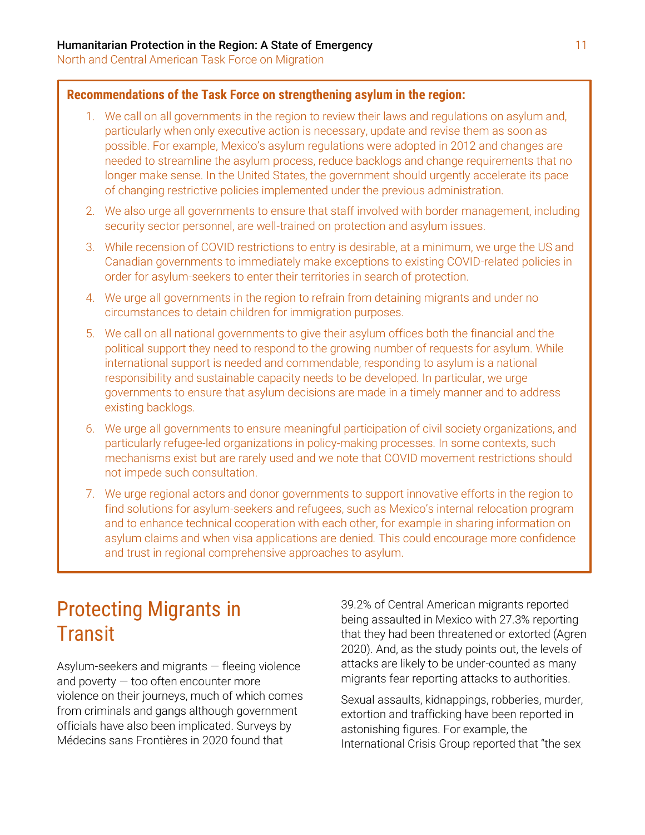### **Recommendations of the Task Force on strengthening asylum in the region:**

- 1. We call on all governments in the region to review their laws and regulations on asylum and, particularly when only executive action is necessary, update and revise them as soon as possible. For example, Mexico's asylum regulations were adopted in 2012 and changes are needed to streamline the asylum process, reduce backlogs and change requirements that no longer make sense. In the United States, the government should urgently accelerate its pace of changing restrictive policies implemented under the previous administration.
- 2. We also urge all governments to ensure that staff involved with border management, including security sector personnel, are well-trained on protection and asylum issues.
- 3. While recension of COVID restrictions to entry is desirable, at a minimum, we urge the US and Canadian governments to immediately make exceptions to existing COVID-related policies in order for asylum-seekers to enter their territories in search of protection.
- 4. We urge all governments in the region to refrain from detaining migrants and under no circumstances to detain children for immigration purposes.
- 5. We call on all national governments to give their asylum offices both the financial and the political support they need to respond to the growing number of requests for asylum. While international support is needed and commendable, responding to asylum is a national responsibility and sustainable capacity needs to be developed. In particular, we urge governments to ensure that asylum decisions are made in a timely manner and to address existing backlogs.
- 6. We urge all governments to ensure meaningful participation of civil society organizations, and particularly refugee-led organizations in policy-making processes. In some contexts, such mechanisms exist but are rarely used and we note that COVID movement restrictions should not impede such consultation.
- 7. We urge regional actors and donor governments to support innovative efforts in the region to find solutions for asylum-seekers and refugees, such as Mexico's internal relocation program and to enhance technical cooperation with each other, for example in sharing information on asylum claims and when visa applications are denied. This could encourage more confidence and trust in regional comprehensive approaches to asylum.

# Protecting Migrants in **Transit**

Asylum-seekers and migrants — fleeing violence and poverty  $-$  too often encounter more violence on their journeys, much of which comes from criminals and gangs although government officials have also been implicated. Surveys by Médecins sans Frontières in 2020 found that

39.2% of Central American migrants reported being assaulted in Mexico with 27.3% reporting that they had been threatened or extorted (Agren 2020). And, as the study points out, the levels of attacks are likely to be under-counted as many migrants fear reporting attacks to authorities.

Sexual assaults, kidnappings, robberies, murder, extortion and trafficking have been reported in astonishing figures. For example, the International Crisis Group reported that "the sex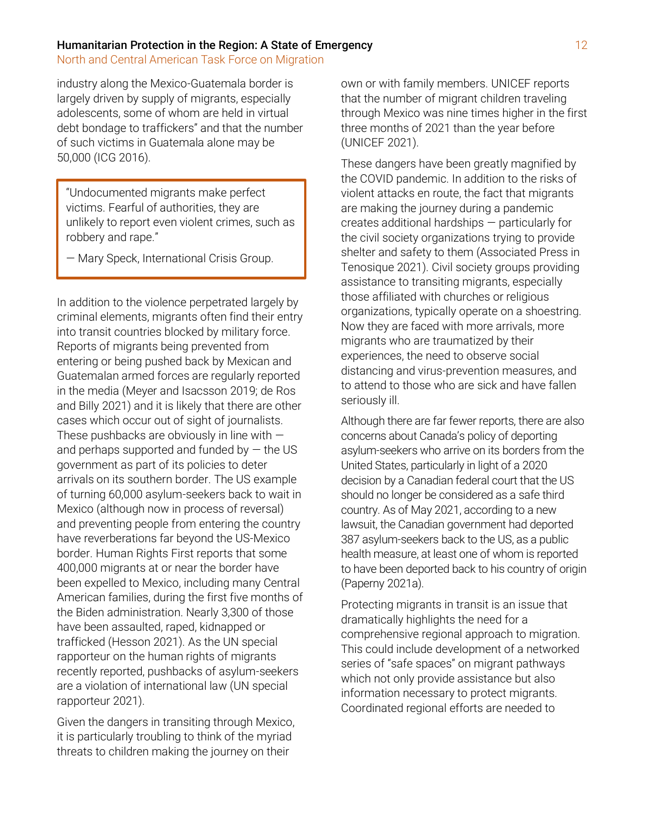North and Central American Task Force on Migration

industry along the Mexico-Guatemala border is largely driven by supply of migrants, especially adolescents, some of whom are held in virtual debt bondage to traffickers" and that the number of such victims in Guatemala alone may be 50,000 (ICG 2016).

"Undocumented migrants make perfect victims. Fearful of authorities, they are unlikely to report even violent crimes, such as robbery and rape."

— Mary Speck, International Crisis Group.

In addition to the violence perpetrated largely by criminal elements, migrants often find their entry into transit countries blocked by military force. Reports of migrants being prevented from entering or being pushed back by Mexican and Guatemalan armed forces are regularly reported in the media (Meyer and Isacsson 2019; de Ros and Billy 2021) and it is likely that there are other cases which occur out of sight of journalists. These pushbacks are obviously in line with  $$ and perhaps supported and funded by  $-$  the US government as part of its policies to deter arrivals on its southern border. The US example of turning 60,000 asylum-seekers back to wait in Mexico (although now in process of reversal) and preventing people from entering the country have reverberations far beyond the US-Mexico border. Human Rights First reports that some 400,000 migrants at or near the border have been expelled to Mexico, including many Central American families, during the first five months of the Biden administration. Nearly 3,300 of those have been assaulted, raped, kidnapped or trafficked (Hesson 2021). As the UN special rapporteur on the human rights of migrants recently reported, pushbacks of asylum-seekers are a violation of international law (UN special rapporteur 2021).

Given the dangers in transiting through Mexico, it is particularly troubling to think of the myriad threats to children making the journey on their

own or with family members. UNICEF reports that the number of migrant children traveling through Mexico was nine times higher in the first three months of 2021 than the year before (UNICEF 2021).

These dangers have been greatly magnified by the COVID pandemic. In addition to the risks of violent attacks en route, the fact that migrants are making the journey during a pandemic creates additional hardships — particularly for the civil society organizations trying to provide shelter and safety to them (Associated Press in Tenosique 2021). Civil society groups providing assistance to transiting migrants, especially those affiliated with churches or religious organizations, typically operate on a shoestring. Now they are faced with more arrivals, more migrants who are traumatized by their experiences, the need to observe social distancing and virus-prevention measures, and to attend to those who are sick and have fallen seriously ill.

Although there are far fewer reports, there are also concerns about Canada's policy of deporting asylum-seekers who arrive on its borders from the United States, particularly in light of a 2020 decision by a Canadian federal court that the US should no longer be considered as a safe third country. As of May 2021, according to a new lawsuit, the Canadian government had deported 387 asylum-seekers back to the US, as a public health measure, at least one of whom is reported to have been deported back to his country of origin (Paperny 2021a).

Protecting migrants in transit is an issue that dramatically highlights the need for a comprehensive regional approach to migration. This could include development of a networked series of "safe spaces" on migrant pathways which not only provide assistance but also information necessary to protect migrants. Coordinated regional efforts are needed to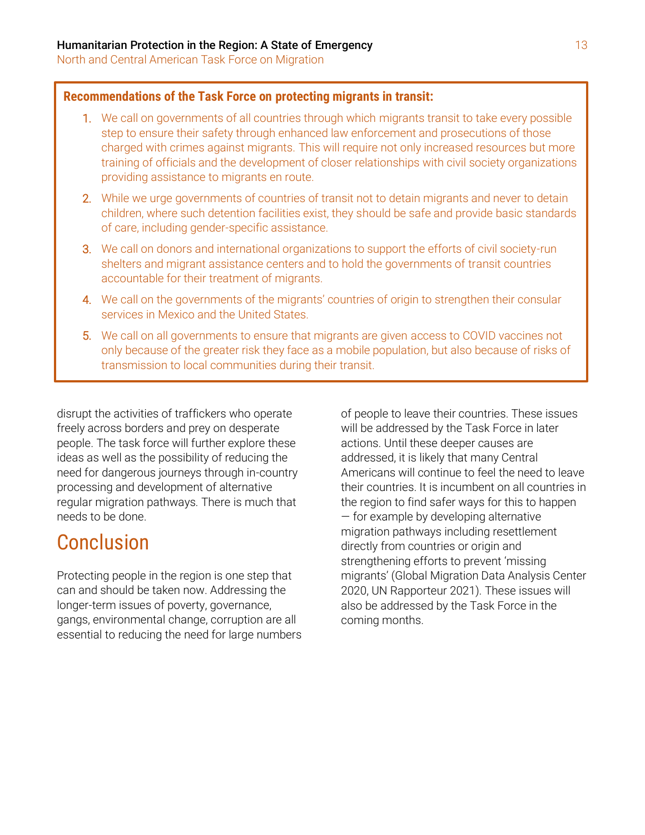### **Recommendations of the Task Force on protecting migrants in transit:**

- 1. We call on governments of all countries through which migrants transit to take every possible step to ensure their safety through enhanced law enforcement and prosecutions of those charged with crimes against migrants. This will require not only increased resources but more training of officials and the development of closer relationships with civil society organizations providing assistance to migrants en route.
- 2. While we urge governments of countries of transit not to detain migrants and never to detain children, where such detention facilities exist, they should be safe and provide basic standards of care, including gender-specific assistance.
- 3. We call on donors and international organizations to support the efforts of civil society-run shelters and migrant assistance centers and to hold the governments of transit countries accountable for their treatment of migrants.
- 4. We call on the governments of the migrants' countries of origin to strengthen their consular services in Mexico and the United States.
- 5. We call on all governments to ensure that migrants are given access to COVID vaccines not only because of the greater risk they face as a mobile population, but also because of risks of transmission to local communities during their transit.

disrupt the activities of traffickers who operate freely across borders and prey on desperate people. The task force will further explore these ideas as well as the possibility of reducing the need for dangerous journeys through in-country processing and development of alternative regular migration pathways. There is much that needs to be done.

# Conclusion

Protecting people in the region is one step that can and should be taken now. Addressing the longer-term issues of poverty, governance, gangs, environmental change, corruption are all essential to reducing the need for large numbers

of people to leave their countries. These issues will be addressed by the Task Force in later actions. Until these deeper causes are addressed, it is likely that many Central Americans will continue to feel the need to leave their countries. It is incumbent on all countries in the region to find safer ways for this to happen — for example by developing alternative migration pathways including resettlement directly from countries or origin and strengthening efforts to prevent 'missing migrants' (Global Migration Data Analysis Center 2020, UN Rapporteur 2021). These issues will also be addressed by the Task Force in the coming months.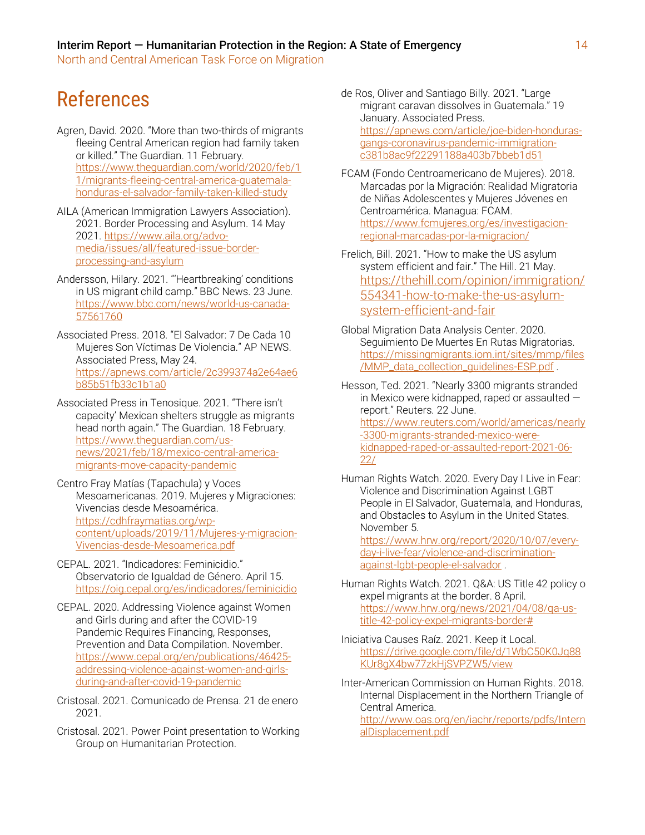# References

- Agren, David. 2020. "More than two-thirds of migrants fleeing Central American region had family taken or killed." The Guardian. 11 February. [https://www.theguardian.com/world/2020/feb/1](https://www.theguardian.com/world/2020/feb/11/migrants-fleeing-central-america-guatemala-honduras-el-salvador-family-taken-killed-study) [1/migrants-fleeing-central-america-guatemala](https://www.theguardian.com/world/2020/feb/11/migrants-fleeing-central-america-guatemala-honduras-el-salvador-family-taken-killed-study)[honduras-el-salvador-family-taken-killed-study](https://www.theguardian.com/world/2020/feb/11/migrants-fleeing-central-america-guatemala-honduras-el-salvador-family-taken-killed-study)
- AILA (American Immigration Lawyers Association). 2021. Border Processing and Asylum. 14 May 2021. [https://www.aila.org/advo](https://www.aila.org/advo-media/issues/all/featured-issue-border-processing-and-asylum)[media/issues/all/featured-issue-border](https://www.aila.org/advo-media/issues/all/featured-issue-border-processing-and-asylum)[processing-and-asylum](https://www.aila.org/advo-media/issues/all/featured-issue-border-processing-and-asylum)
- Andersson, Hilary. 2021. "'Heartbreaking' conditions in US migrant child camp." BBC News. 23 June. [https://www.bbc.com/news/world-us-canada-](https://www.bbc.com/news/world-us-canada-57561760)[57561760](https://www.bbc.com/news/world-us-canada-57561760)
- Associated Press. 2018. "El Salvador: 7 De Cada 10 Mujeres Son Víctimas De Violencia." AP NEWS. Associated Press, May 24. [https://apnews.com/article/2c399374a2e64ae6](https://apnews.com/article/2c399374a2e64ae6b85b51fb33c1b1a0) [b85b51fb33c1b1a0](https://apnews.com/article/2c399374a2e64ae6b85b51fb33c1b1a0)
- Associated Press in Tenosique. 2021. "There isn't capacity' Mexican shelters struggle as migrants head north again." The Guardian. 18 February. [https://www.theguardian.com/us](https://www.theguardian.com/us-news/2021/feb/18/mexico-central-america-migrants-move-capacity-pandemic)[news/2021/feb/18/mexico-central-america](https://www.theguardian.com/us-news/2021/feb/18/mexico-central-america-migrants-move-capacity-pandemic)[migrants-move-capacity-pandemic](https://www.theguardian.com/us-news/2021/feb/18/mexico-central-america-migrants-move-capacity-pandemic)
- Centro Fray Matías (Tapachula) y Voces Mesoamericanas. 2019. Mujeres y Migraciones: Vivencias desde Mesoamérica. [https://cdhfraymatias.org/wp](https://cdhfraymatias.org/wp-content/uploads/2019/11/Mujeres-y-migracion-Vivencias-desde-Mesoamerica.pdf)[content/uploads/2019/11/Mujeres-y-migracion-](https://cdhfraymatias.org/wp-content/uploads/2019/11/Mujeres-y-migracion-Vivencias-desde-Mesoamerica.pdf)[Vivencias-desde-Mesoamerica.pdf](https://cdhfraymatias.org/wp-content/uploads/2019/11/Mujeres-y-migracion-Vivencias-desde-Mesoamerica.pdf)
- CEPAL. 2021. "Indicadores: Feminicidio." Observatorio de Igualdad de Género. April 15. <https://oig.cepal.org/es/indicadores/feminicidio>
- CEPAL. 2020. Addressing Violence against Women and Girls during and after the COVID-19 Pandemic Requires Financing, Responses, Prevention and Data Compilation. November. [https://www.cepal.org/en/publications/46425](https://www.cepal.org/en/publications/46425-addressing-violence-against-women-and-girls-%20during-and-after-covid-19-pandemic) [addressing-violence-against-women-and-girls](https://www.cepal.org/en/publications/46425-addressing-violence-against-women-and-girls-%20during-and-after-covid-19-pandemic)[during-and-after-covid-19-pandemic](https://www.cepal.org/en/publications/46425-addressing-violence-against-women-and-girls-%20during-and-after-covid-19-pandemic)
- Cristosal. 2021. Comunicado de Prensa. 21 de enero 2021.
- Cristosal. 2021. Power Point presentation to Working Group on Humanitarian Protection.
- de Ros, Oliver and Santiago Billy. 2021. "Large migrant caravan dissolves in Guatemala." 19 January. Associated Press. [https://apnews.com/article/joe-biden-honduras](https://apnews.com/article/joe-biden-honduras-gangs-coronavirus-pandemic-immigration-c381b8ac9f22291188a403b7bbeb1d51)[gangs-coronavirus-pandemic-immigration](https://apnews.com/article/joe-biden-honduras-gangs-coronavirus-pandemic-immigration-c381b8ac9f22291188a403b7bbeb1d51)[c381b8ac9f22291188a403b7bbeb1d51](https://apnews.com/article/joe-biden-honduras-gangs-coronavirus-pandemic-immigration-c381b8ac9f22291188a403b7bbeb1d51)
- FCAM (Fondo Centroamericano de Mujeres). 2018. Marcadas por la Migración: Realidad Migratoria de Niñas Adolescentes y Mujeres Jóvenes en Centroamérica. Managua: FCAM. [https://www.fcmujeres.org/es/investigacion](https://www.fcmujeres.org/es/investigacion-regional-marcadas-por-la-migracion/)[regional-marcadas-por-la-migracion/](https://www.fcmujeres.org/es/investigacion-regional-marcadas-por-la-migracion/)
- Frelich, Bill. 2021. "How to make the US asylum system efficient and fair." The Hill. 21 May. [https://thehill.com/opinion/immigration/](https://thehill.com/opinion/immigration/554341-how-to-make-the-us-asylum-system-efficient-and-fair) [554341-how-to-make-the-us-asylum](https://thehill.com/opinion/immigration/554341-how-to-make-the-us-asylum-system-efficient-and-fair)[system-efficient-and-fair](https://thehill.com/opinion/immigration/554341-how-to-make-the-us-asylum-system-efficient-and-fair)
- Global Migration Data Analysis Center. 2020. Seguimiento De Muertes En Rutas Migratorias. [https://missingmigrants.iom.int/sites/mmp/files](https://missingmigrants.iom.int/sites/mmp/files/MMP_data_collection_guidelines-ESP.pdf) [/MMP\\_data\\_collection\\_guidelines-ESP.pdf](https://missingmigrants.iom.int/sites/mmp/files/MMP_data_collection_guidelines-ESP.pdf) .
- Hesson, Ted. 2021. "Nearly 3300 migrants stranded in Mexico were kidnapped, raped or assaulted report." Reuters. 22 June. [https://www.reuters.com/world/americas/nearly](https://www.reuters.com/world/americas/nearly-3300-migrants-stranded-mexico-were-kidnapped-raped-or-assaulted-report-2021-06-22/) [-3300-migrants-stranded-mexico-were](https://www.reuters.com/world/americas/nearly-3300-migrants-stranded-mexico-were-kidnapped-raped-or-assaulted-report-2021-06-22/)[kidnapped-raped-or-assaulted-report-2021-06-](https://www.reuters.com/world/americas/nearly-3300-migrants-stranded-mexico-were-kidnapped-raped-or-assaulted-report-2021-06-22/) [22/](https://www.reuters.com/world/americas/nearly-3300-migrants-stranded-mexico-were-kidnapped-raped-or-assaulted-report-2021-06-22/)
- Human Rights Watch. 2020. Every Day I Live in Fear: Violence and Discrimination Against LGBT People in El Salvador, Guatemala, and Honduras, and Obstacles to Asylum in the United States. November 5. [https://www.hrw.org/report/2020/10/07/every-](https://www.hrw.org/report/2020/10/07/every-day-i-live-fear/violence-and-discrimination-against-lgbt-people-el-salvador)

[day-i-live-fear/violence-and-discrimination](https://www.hrw.org/report/2020/10/07/every-day-i-live-fear/violence-and-discrimination-against-lgbt-people-el-salvador)[against-lgbt-people-el-salvador](https://www.hrw.org/report/2020/10/07/every-day-i-live-fear/violence-and-discrimination-against-lgbt-people-el-salvador) .

- Human Rights Watch. 2021. Q&A: US Title 42 policy o expel migrants at the border. 8 April. [https://www.hrw.org/news/2021/04/08/qa-us](https://www.hrw.org/news/2021/04/08/qa-us-title-42-policy-expel-migrants-border)[title-42-policy-expel-migrants-border#](https://www.hrw.org/news/2021/04/08/qa-us-title-42-policy-expel-migrants-border)
- Iniciativa Causes Raíz. 2021. Keep it Local. [https://drive.google.com/file/d/1WbC50K0Jq88](https://drive.google.com/file/d/1WbC50K0Jq88KUr8gX4bw77zkHjSVPZW5/view) [KUr8gX4bw77zkHjSVPZW5/view](https://drive.google.com/file/d/1WbC50K0Jq88KUr8gX4bw77zkHjSVPZW5/view)
- Inter-American Commission on Human Rights. 2018. Internal Displacement in the Northern Triangle of Central America.

[http://www.oas.org/en/iachr/reports/pdfs/Intern](http://www.oas.org/en/iachr/reports/pdfs/InternalDisplacement.pdf) [alDisplacement.pdf](http://www.oas.org/en/iachr/reports/pdfs/InternalDisplacement.pdf)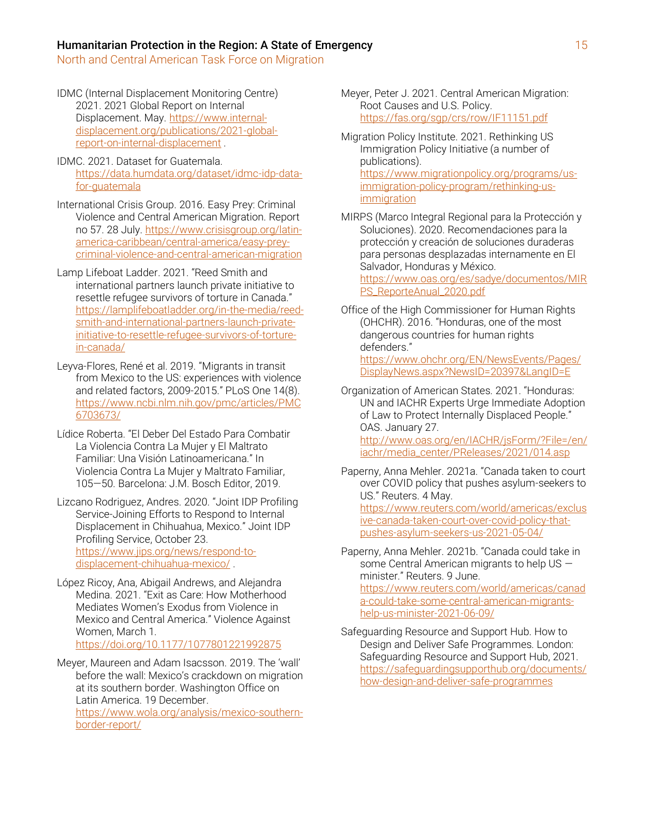North and Central American Task Force on Migration

- IDMC (Internal Displacement Monitoring Centre) 2021. 2021 Global Report on Internal Displacement. May[. https://www.internal](https://www.internal-displacement.org/publications/2021-global-report-on-internal-displacement)[displacement.org/publications/2021-global](https://www.internal-displacement.org/publications/2021-global-report-on-internal-displacement)[report-on-internal-displacement](https://www.internal-displacement.org/publications/2021-global-report-on-internal-displacement) .
- IDMC. 2021. Dataset for Guatemala. [https://data.humdata.org/dataset/idmc-idp-data](https://data.humdata.org/dataset/idmc-idp-data-for-guatemala)[for-guatemala](https://data.humdata.org/dataset/idmc-idp-data-for-guatemala)
- International Crisis Group. 2016. Easy Prey: Criminal Violence and Central American Migration. Report no 57. 28 July. [https://www.crisisgroup.org/latin](https://www.crisisgroup.org/latin-america-caribbean/central-america/easy-prey-criminal-violence-and-central-american-migration)[america-caribbean/central-america/easy-prey](https://www.crisisgroup.org/latin-america-caribbean/central-america/easy-prey-criminal-violence-and-central-american-migration)[criminal-violence-and-central-american-migration](https://www.crisisgroup.org/latin-america-caribbean/central-america/easy-prey-criminal-violence-and-central-american-migration)
- Lamp Lifeboat Ladder. 2021. "Reed Smith and international partners launch private initiative to resettle refugee survivors of torture in Canada." [https://lamplifeboatladder.org/in-the-media/reed](https://lamplifeboatladder.org/in-the-media/reed-smith-and-international-partners-launch-private-initiative-to-resettle-refugee-survivors-of-torture-in-canada/)[smith-and-international-partners-launch-private](https://lamplifeboatladder.org/in-the-media/reed-smith-and-international-partners-launch-private-initiative-to-resettle-refugee-survivors-of-torture-in-canada/)[initiative-to-resettle-refugee-survivors-of-torture](https://lamplifeboatladder.org/in-the-media/reed-smith-and-international-partners-launch-private-initiative-to-resettle-refugee-survivors-of-torture-in-canada/)[in-canada/](https://lamplifeboatladder.org/in-the-media/reed-smith-and-international-partners-launch-private-initiative-to-resettle-refugee-survivors-of-torture-in-canada/)
- Leyva-Flores, René et al. 2019. "Migrants in transit from Mexico to the US: experiences with violence and related factors, 2009-2015." PLoS One 14(8). [https://www.ncbi.nlm.nih.gov/pmc/articles/PMC](https://www.ncbi.nlm.nih.gov/pmc/articles/PMC6703673/) [6703673/](https://www.ncbi.nlm.nih.gov/pmc/articles/PMC6703673/)
- Lídice Roberta. "El Deber Del Estado Para Combatir La Violencia Contra La Mujer y El Maltrato Familiar: Una Visión Latinoamericana." In Violencia Contra La Mujer y Maltrato Familiar, 105—50. Barcelona: J.M. Bosch Editor, 2019.
- Lizcano Rodriguez, Andres. 2020. "Joint IDP Profiling Service-Joining Efforts to Respond to Internal Displacement in Chihuahua, Mexico." Joint IDP Profiling Service, October 23. [https://www.jips.org/news/respond-to](https://www.jips.org/news/respond-to-displacement-chihuahua-mexico/)[displacement-chihuahua-mexico/](https://www.jips.org/news/respond-to-displacement-chihuahua-mexico/) .
- López Ricoy, Ana, Abigail Andrews, and Alejandra Medina. 2021. "Exit as Care: How Motherhood Mediates Women's Exodus from Violence in Mexico and Central America." Violence Against Women, March 1. https://doi.org/10.1177/1077801221992875
- Meyer, Maureen and Adam Isacsson. 2019. The 'wall' before the wall: Mexico's crackdown on migration at its southern border. Washington Office on Latin America. 19 December. [https://www.wola.org/analysis/mexico-southern](https://www.wola.org/analysis/mexico-southern-border-report/)[border-report/](https://www.wola.org/analysis/mexico-southern-border-report/)

Meyer, Peter J. 2021. Central American Migration: Root Causes and U.S. Policy. <https://fas.org/sgp/crs/row/IF11151.pdf>

- Migration Policy Institute. 2021. Rethinking US Immigration Policy Initiative (a number of publications). [https://www.migrationpolicy.org/programs/us](https://www.migrationpolicy.org/programs/us-immigration-policy-program/rethinking-us-immigration)[immigration-policy-program/rethinking-us](https://www.migrationpolicy.org/programs/us-immigration-policy-program/rethinking-us-immigration)**[immigration](https://www.migrationpolicy.org/programs/us-immigration-policy-program/rethinking-us-immigration)**
- MIRPS (Marco Integral Regional para la Protección y Soluciones). 2020. Recomendaciones para la protección y creación de soluciones duraderas para personas desplazadas internamente en El Salvador, Honduras y México. [https://www.oas.org/es/sadye/documentos/MIR](https://www.oas.org/es/sadye/documentos/MIRPS_ReporteAnual_2020.pdf) [PS\\_ReporteAnual\\_2020.pdf](https://www.oas.org/es/sadye/documentos/MIRPS_ReporteAnual_2020.pdf)
- Office of the High Commissioner for Human Rights (OHCHR). 2016. "Honduras, one of the most dangerous countries for human rights defenders."

[https://www.ohchr.org/EN/NewsEvents/Pages/](https://www.ohchr.org/EN/NewsEvents/Pages/DisplayNews.aspx?NewsID=20397&LangID=E) [DisplayNews.aspx?NewsID=20397&LangID=E](https://www.ohchr.org/EN/NewsEvents/Pages/DisplayNews.aspx?NewsID=20397&LangID=E)

Organization of American States. 2021. "Honduras: UN and IACHR Experts Urge Immediate Adoption of Law to Protect Internally Displaced People." OAS. January 27.

[http://www.oas.org/en/IACHR/jsForm/?File=/en/](http://www.oas.org/en/IACHR/jsForm/?File=/en/iachr/media_center/PReleases/2021/014.asp) [iachr/media\\_center/PReleases/2021/014.asp](http://www.oas.org/en/IACHR/jsForm/?File=/en/iachr/media_center/PReleases/2021/014.asp)

- Paperny, Anna Mehler. 2021a. "Canada taken to court over COVID policy that pushes asylum-seekers to US." Reuters. 4 May. [https://www.reuters.com/world/americas/exclus](https://www.reuters.com/world/americas/exclusive-canada-taken-court-over-covid-policy-that-pushes-asylum-seekers-us-2021-05-04/) [ive-canada-taken-court-over-covid-policy-that](https://www.reuters.com/world/americas/exclusive-canada-taken-court-over-covid-policy-that-pushes-asylum-seekers-us-2021-05-04/)[pushes-asylum-seekers-us-2021-05-04/](https://www.reuters.com/world/americas/exclusive-canada-taken-court-over-covid-policy-that-pushes-asylum-seekers-us-2021-05-04/)
- Paperny, Anna Mehler. 2021b. "Canada could take in some Central American migrants to help US minister." Reuters. 9 June. [https://www.reuters.com/world/americas/canad](https://www.reuters.com/world/americas/canada-could-take-some-central-american-migrants-help-us-minister-2021-06-09/) [a-could-take-some-central-american-migrants](https://www.reuters.com/world/americas/canada-could-take-some-central-american-migrants-help-us-minister-2021-06-09/)[help-us-minister-2021-06-09/](https://www.reuters.com/world/americas/canada-could-take-some-central-american-migrants-help-us-minister-2021-06-09/)
- Safeguarding Resource and Support Hub. How to Design and Deliver Safe Programmes. London: Safeguarding Resource and Support Hub, 2021. [https://safeguardingsupporthub.org/documents/](https://safeguardingsupporthub.org/documents/how-design-and-deliver-safe-programmes) [how-design-and-deliver-safe-programmes](https://safeguardingsupporthub.org/documents/how-design-and-deliver-safe-programmes)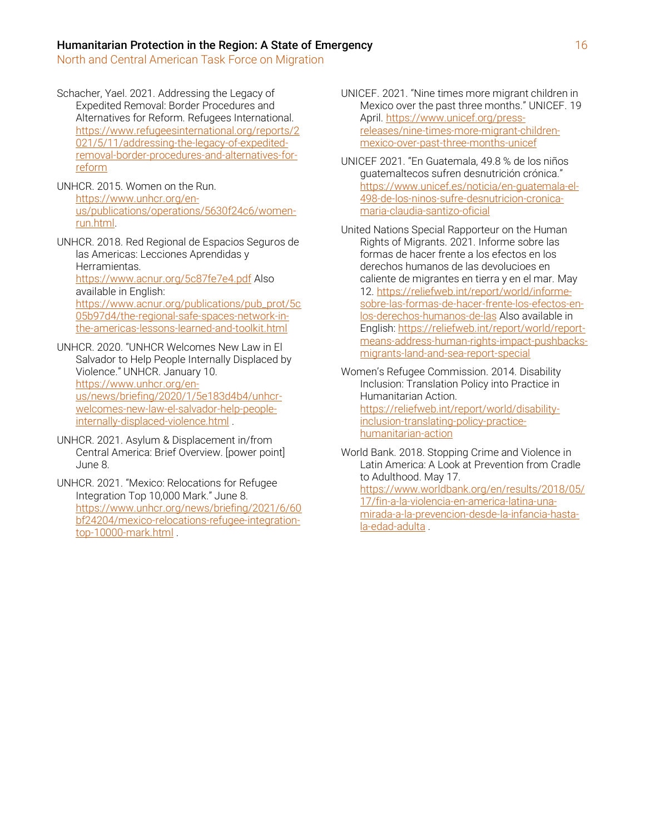- Schacher, Yael. 2021. Addressing the Legacy of Expedited Removal: Border Procedures and Alternatives for Reform. Refugees International. [https://www.refugeesinternational.org/reports/2](https://www.refugeesinternational.org/reports/2021/5/11/addressing-the-legacy-of-expedited-removal-border-procedures-and-alternatives-for-reform) [021/5/11/addressing-the-legacy-of-expedited](https://www.refugeesinternational.org/reports/2021/5/11/addressing-the-legacy-of-expedited-removal-border-procedures-and-alternatives-for-reform)[removal-border-procedures-and-alternatives-for](https://www.refugeesinternational.org/reports/2021/5/11/addressing-the-legacy-of-expedited-removal-border-procedures-and-alternatives-for-reform)[reform](https://www.refugeesinternational.org/reports/2021/5/11/addressing-the-legacy-of-expedited-removal-border-procedures-and-alternatives-for-reform)
- UNHCR. 2015. Women on the Run. [https://www.unhcr.org/en](https://www.unhcr.org/en-us/publications/operations/5630f24c6/women-run.html)[us/publications/operations/5630f24c6/women](https://www.unhcr.org/en-us/publications/operations/5630f24c6/women-run.html)[run.html.](https://www.unhcr.org/en-us/publications/operations/5630f24c6/women-run.html)
- UNHCR. 2018. Red Regional de Espacios Seguros de las Americas: Lecciones Aprendidas y Herramientas. <https://www.acnur.org/5c87fe7e4.pdf> Also available in English: [https://www.acnur.org/publications/pub\\_prot/5c](https://www.acnur.org/publications/pub_prot/5c05b97d4/the-regional-safe-spaces-network-in-the-americas-lessons-learned-and-toolkit.html) [05b97d4/the-regional-safe-spaces-network-in](https://www.acnur.org/publications/pub_prot/5c05b97d4/the-regional-safe-spaces-network-in-the-americas-lessons-learned-and-toolkit.html)[the-americas-lessons-learned-and-toolkit.html](https://www.acnur.org/publications/pub_prot/5c05b97d4/the-regional-safe-spaces-network-in-the-americas-lessons-learned-and-toolkit.html)
- UNHCR. 2020. "UNHCR Welcomes New Law in El Salvador to Help People Internally Displaced by Violence." UNHCR. January 10. [https://www.unhcr.org/en](https://www.unhcr.org/en-us/news/briefing/2020/1/5e183d4b4/unhcr-welcomes-new-law-el-salvador-help-people-internally-displaced-violence.html)[us/news/briefing/2020/1/5e183d4b4/unhcr](https://www.unhcr.org/en-us/news/briefing/2020/1/5e183d4b4/unhcr-welcomes-new-law-el-salvador-help-people-internally-displaced-violence.html)[welcomes-new-law-el-salvador-help-people](https://www.unhcr.org/en-us/news/briefing/2020/1/5e183d4b4/unhcr-welcomes-new-law-el-salvador-help-people-internally-displaced-violence.html)[internally-displaced-violence.html](https://www.unhcr.org/en-us/news/briefing/2020/1/5e183d4b4/unhcr-welcomes-new-law-el-salvador-help-people-internally-displaced-violence.html) .
- UNHCR. 2021. Asylum & Displacement in/from Central America: Brief Overview. [power point] June 8.
- UNHCR. 2021. "Mexico: Relocations for Refugee Integration Top 10,000 Mark." June 8. [https://www.unhcr.org/news/briefing/2021/6/60](https://www.unhcr.org/news/briefing/2021/6/60bf24204/mexico-relocations-refugee-integration-top-10000-mark.html) [bf24204/mexico-relocations-refugee-integration](https://www.unhcr.org/news/briefing/2021/6/60bf24204/mexico-relocations-refugee-integration-top-10000-mark.html)[top-10000-mark.html](https://www.unhcr.org/news/briefing/2021/6/60bf24204/mexico-relocations-refugee-integration-top-10000-mark.html) .
- UNICEF. 2021. "Nine times more migrant children in Mexico over the past three months." UNICEF. 19 April[. https://www.unicef.org/press](https://www.unicef.org/press-releases/nine-times-more-migrant-children-mexico-over-past-three-months-unicef)[releases/nine-times-more-migrant-children](https://www.unicef.org/press-releases/nine-times-more-migrant-children-mexico-over-past-three-months-unicef)[mexico-over-past-three-months-unicef](https://www.unicef.org/press-releases/nine-times-more-migrant-children-mexico-over-past-three-months-unicef)
- UNICEF 2021. "En Guatemala, 49.8 % de los niños guatemaltecos sufren desnutrición crónica." [https://www.unicef.es/noticia/en-guatemala-el-](https://www.unicef.es/noticia/en-guatemala-el-498-de-los-ninos-sufre-desnutricion-cronica-maria-claudia-santizo-oficial)[498-de-los-ninos-sufre-desnutricion-cronica](https://www.unicef.es/noticia/en-guatemala-el-498-de-los-ninos-sufre-desnutricion-cronica-maria-claudia-santizo-oficial)[maria-claudia-santizo-oficial](https://www.unicef.es/noticia/en-guatemala-el-498-de-los-ninos-sufre-desnutricion-cronica-maria-claudia-santizo-oficial)
- United Nations Special Rapporteur on the Human Rights of Migrants. 2021. Informe sobre las formas de hacer frente a los efectos en los derechos humanos de las devolucioes en caliente de migrantes en tierra y en el mar. May 12[. https://reliefweb.int/report/world/informe](https://reliefweb.int/report/world/informe-sobre-las-formas-de-hacer-frente-los-efectos-en-los-derechos-humanos-de-las)[sobre-las-formas-de-hacer-frente-los-efectos-en](https://reliefweb.int/report/world/informe-sobre-las-formas-de-hacer-frente-los-efectos-en-los-derechos-humanos-de-las)[los-derechos-humanos-de-las](https://reliefweb.int/report/world/informe-sobre-las-formas-de-hacer-frente-los-efectos-en-los-derechos-humanos-de-las) Also available in English: [https://reliefweb.int/report/world/report](https://reliefweb.int/report/world/report-means-address-human-rights-impact-pushbacks-migrants-land-and-sea-report-special)[means-address-human-rights-impact-pushbacks](https://reliefweb.int/report/world/report-means-address-human-rights-impact-pushbacks-migrants-land-and-sea-report-special)[migrants-land-and-sea-report-special](https://reliefweb.int/report/world/report-means-address-human-rights-impact-pushbacks-migrants-land-and-sea-report-special)
- Women's Refugee Commission. 2014. Disability Inclusion: Translation Policy into Practice in Humanitarian Action. [https://reliefweb.int/report/world/disability](https://reliefweb.int/report/world/disability-inclusion-translating-policy-practice-humanitarian-action)[inclusion-translating-policy-practice](https://reliefweb.int/report/world/disability-inclusion-translating-policy-practice-humanitarian-action)[humanitarian-action](https://reliefweb.int/report/world/disability-inclusion-translating-policy-practice-humanitarian-action)
- World Bank. 2018. Stopping Crime and Violence in Latin America: A Look at Prevention from Cradle to Adulthood. May 17. [https://www.worldbank.org/en/results/2018/05/](https://www.worldbank.org/en/results/2018/05/17/fin-a-la-violencia-en-america-latina-una-mirada-a-la-prevencion-desde-la-infancia-hasta-la-edad-adulta) [17/fin-a-la-violencia-en-america-latina-una](https://www.worldbank.org/en/results/2018/05/17/fin-a-la-violencia-en-america-latina-una-mirada-a-la-prevencion-desde-la-infancia-hasta-la-edad-adulta)[mirada-a-la-prevencion-desde-la-infancia-hasta](https://www.worldbank.org/en/results/2018/05/17/fin-a-la-violencia-en-america-latina-una-mirada-a-la-prevencion-desde-la-infancia-hasta-la-edad-adulta)[la-edad-adulta](https://www.worldbank.org/en/results/2018/05/17/fin-a-la-violencia-en-america-latina-una-mirada-a-la-prevencion-desde-la-infancia-hasta-la-edad-adulta) .